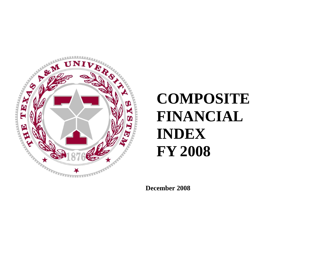

# **COMPOSITE FINANCIAL INDEX FY 2008**

**December 2008**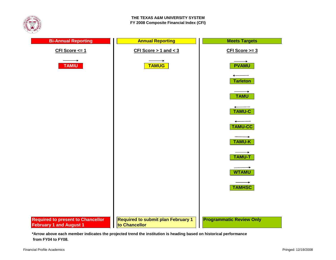



**\*Arrow above each member indicates the projected trend the institution is heading based on historical performance from FY04 to FY08.**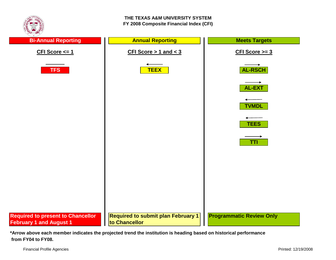

**\*Arrow above each member indicates the projected trend the institution is heading based on historical performance from FY04 to FY08.**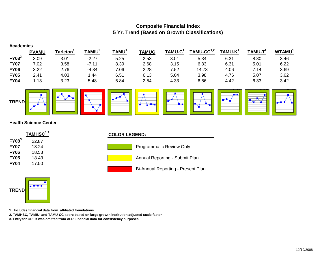### **Composite Financial Index 5 Yr. Trend (Based on Growth Classifications)**

| <b>Academics</b>             |              |                                            |           |                          |                          |                     |              |                                  |            |                          |  |
|------------------------------|--------------|--------------------------------------------|-----------|--------------------------|--------------------------|---------------------|--------------|----------------------------------|------------|--------------------------|--|
|                              | <b>PVAMU</b> | Tarleton $^{\scriptscriptstyle\mathsf{T}}$ | $TAMIU^2$ | TAMU <sup>1</sup>        | <b>TAMUG</b>             | TAMU-C <sup>1</sup> | $TAMU-CC1,2$ | TAMU-K <sup>1</sup>              | $TAMU-T^1$ | <b>WTAMU<sup>1</sup></b> |  |
| $FY08^3$                     | 3.09         | 3.01                                       | $-2.27$   | 5.25                     | 2.53                     | 3.01                | 5.34         | 6.31                             | 8.80       | 3.46                     |  |
| <b>FY07</b>                  | 7.02         | 3.58                                       | $-7.11$   | 8.39                     | 2.68                     | 3.15                | 6.83         | 6.31                             | 5.01       | 6.22                     |  |
| <b>FY06</b>                  | 3.22         | 2.76                                       | $-4.34$   | 7.06                     | 2.28                     | 7.52                | 14.73        | 4.06                             | 7.14       | 3.69                     |  |
| <b>FY05</b>                  | 2.41         | 4.03                                       | 1.44      | 6.51                     | 6.13                     | 5.04                | 3.98         | 4.76                             | 5.07       | 3.62                     |  |
| <b>FY04</b>                  | 1.13         | 3.23                                       | 5.48      | 5.84                     | 2.54                     | 4.33                | 6.56         | 4.42                             | 6.33       | 3.42                     |  |
| <b>TREND</b>                 |              |                                            |           | $\overline{\phantom{a}}$ | $\overline{\phantom{a}}$ | ┏<br>▙▅             |              | $\blacksquare$<br>$\blacksquare$ |            | $\blacksquare$           |  |
| <b>Health Science Center</b> |              |                                            |           |                          |                          |                     |              |                                  |            |                          |  |
| $TAMHSC1,2$                  |              |                                            |           | <b>COLOR LEGEND:</b>     |                          |                     |              |                                  |            |                          |  |



#### **COLOR LEGEND:**









**1. Includes financial data from affiliated foundations.**

**2. TAMHSC, TAMIU, and TAMU-CC score based on large growth institution adjusted scale factor**

**3. Entry for OPEB was omitted from AFR Financial data for consistency purposes**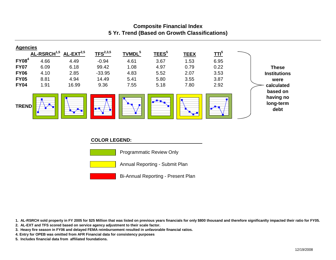## **Composite Financial Index 5 Yr. Trend (Based on Growth Classifications)**



#### **COLOR LEGEND:**



Programmatic Review Only



Bi-Annual Reporting - Present Plan

**1. AL-RSRCH sold property in FY 2005 for \$25 Million that was listed on previous years financials for only \$800 thousand and therefore significanlty impacted their ratio for FY05.**

**2. AL-EXT and TFS scored based on service agency adjustment to their scale factor.**

**3. Heavy fire season in FY06 and delayed FEMA reimbursement resulted in unfavorable financial ratios.**

**4. Entry for OPEB was omitted from AFR Financial data for consistency purposes**

**5. Includes financial data from affiliated foundations.**